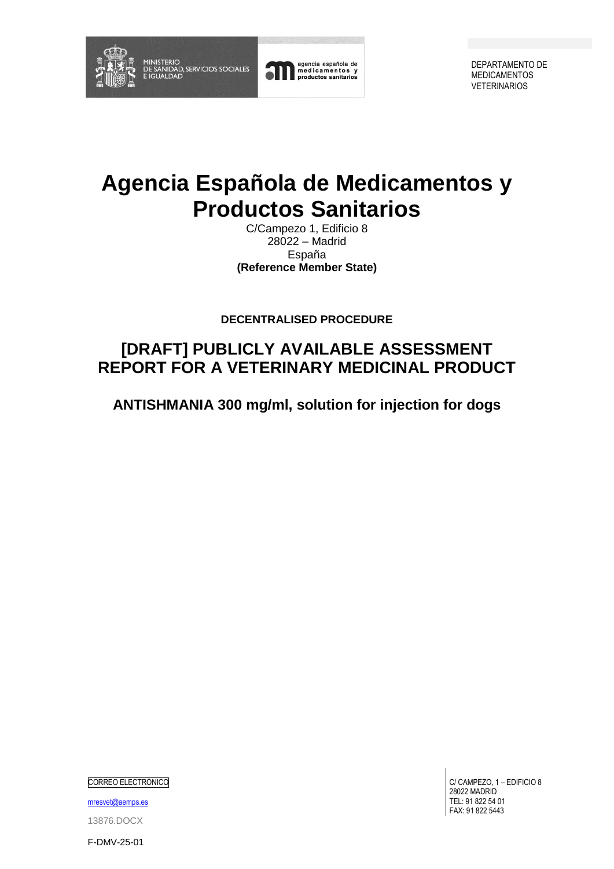

agencia española de<br>medicamentos y<br>productos sanitarios

DEPARTAMENTO DE MEDICAMENTOS VETERINARIOS

# **Agencia Española de Medicamentos y Productos Sanitarios**

C/Campezo 1, Edificio 8 28022 – Madrid España **(Reference Member State)**

**DECENTRALISED PROCEDURE**

## **[DRAFT] PUBLICLY AVAILABLE ASSESSMENT REPORT FOR A VETERINARY MEDICINAL PRODUCT**

**ANTISHMANIA 300 mg/ml, solution for injection for dogs**

CORREO ELECTRÓNICO

[mresvet@aemps.es](mailto:mresvet@aemps.es)

13876.DOCX

C/ CAMPEZO, 1 – EDIFICIO 8 28022 MADRID TEL: 91 822 54 01 FAX: 91 822 5443

F-DMV-25-01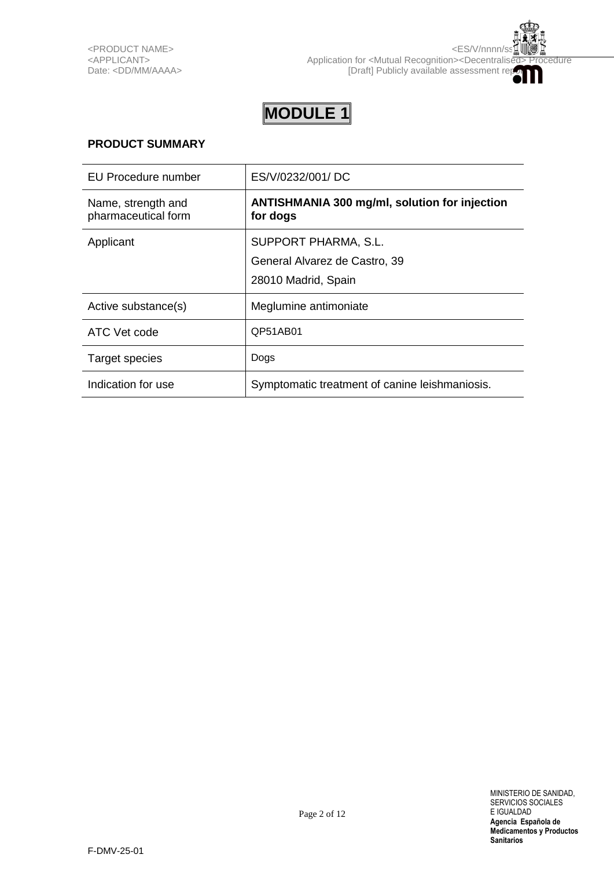## **PRODUCT SUMMARY**

| <b>EU Procedure number</b>                | ES/V/0232/001/DC                                                 |
|-------------------------------------------|------------------------------------------------------------------|
| Name, strength and<br>pharmaceutical form | <b>ANTISHMANIA 300 mg/ml, solution for injection</b><br>for dogs |
| Applicant                                 | SUPPORT PHARMA, S.L.                                             |
|                                           | General Alvarez de Castro, 39                                    |
|                                           | 28010 Madrid, Spain                                              |
| Active substance(s)                       | Meglumine antimoniate                                            |
| ATC Vet code                              | QP51AB01                                                         |
| Target species                            | Dogs                                                             |
| Indication for use                        | Symptomatic treatment of canine leishmaniosis.                   |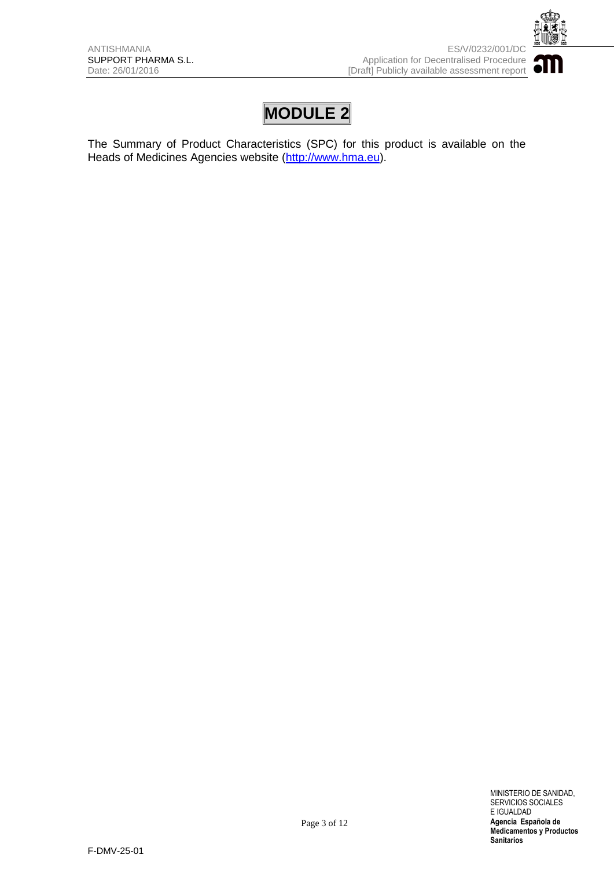

The Summary of Product Characteristics (SPC) for this product is available on the Heads of Medicines Agencies website [\(http://www.hma.eu\)](http://www.hma.eu/).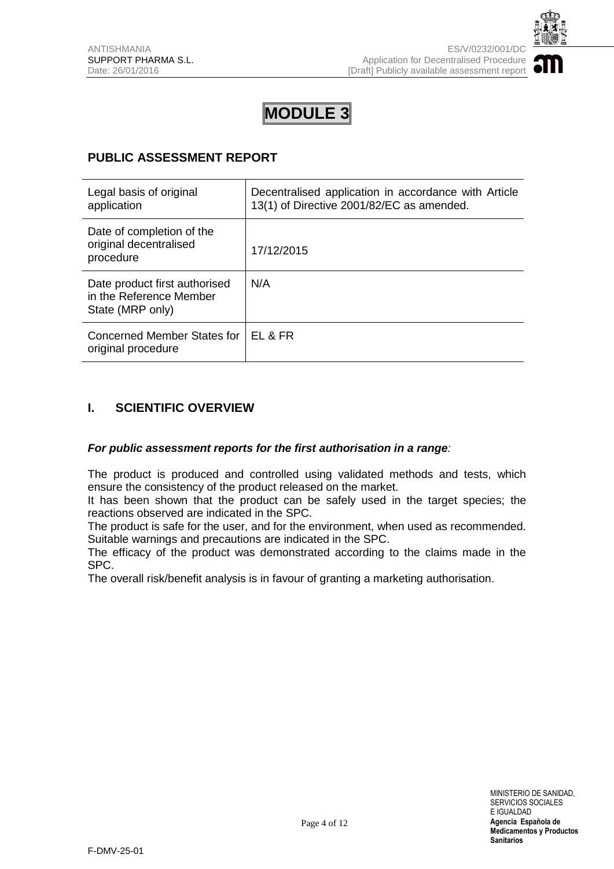

## **PUBLIC ASSESSMENT REPORT**

| Legal basis of original<br>application                                       | Decentralised application in accordance with Article<br>13(1) of Directive 2001/82/EC as amended. |
|------------------------------------------------------------------------------|---------------------------------------------------------------------------------------------------|
| Date of completion of the<br>original decentralised<br>procedure             | 17/12/2015                                                                                        |
| Date product first authorised<br>in the Reference Member<br>State (MRP only) | N/A                                                                                               |
| Concerned Member States for<br>original procedure                            | FI & FR                                                                                           |

## **I. SCIENTIFIC OVERVIEW**

#### *For public assessment reports for the first authorisation in a range:*

The product is produced and controlled using validated methods and tests, which ensure the consistency of the product released on the market.

It has been shown that the product can be safely used in the target species; the reactions observed are indicated in the SPC.

The product is safe for the user, and for the environment, when used as recommended. Suitable warnings and precautions are indicated in the SPC.

The efficacy of the product was demonstrated according to the claims made in the SPC.

The overall risk/benefit analysis is in favour of granting a marketing authorisation.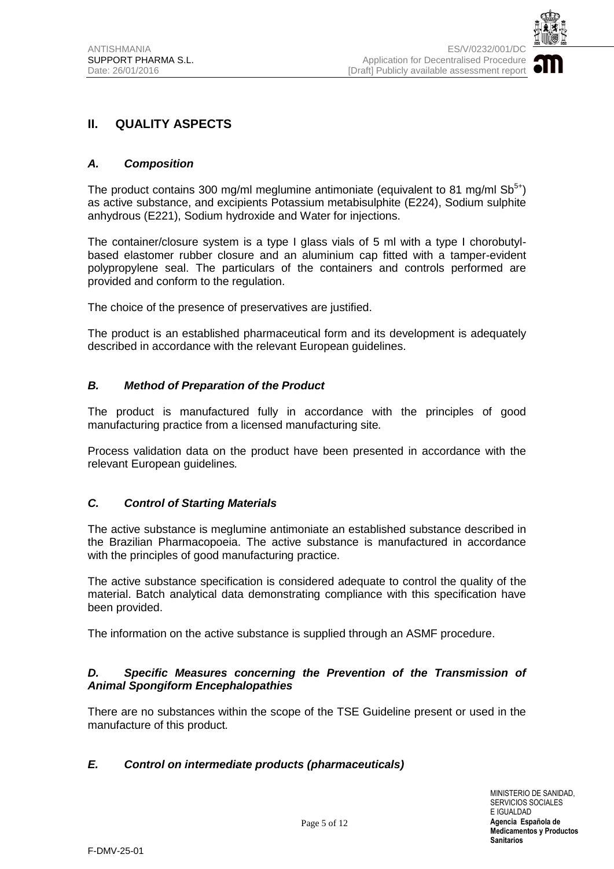

## **II. QUALITY ASPECTS**

#### *A. Composition*

The product contains 300 mg/ml meglumine antimoniate (equivalent to 81 mg/ml  $\text{Sb}^{5+}$ ) as active substance, and excipients Potassium metabisulphite (E224), Sodium sulphite anhydrous (E221), Sodium hydroxide and Water for injections.

The container/closure system is a type I glass vials of 5 ml with a type I chorobutylbased elastomer rubber closure and an aluminium cap fitted with a tamper-evident polypropylene seal. The particulars of the containers and controls performed are provided and conform to the regulation.

The choice of the presence of preservatives are justified.

The product is an established pharmaceutical form and its development is adequately described in accordance with the relevant European guidelines.

#### *B. Method of Preparation of the Product*

The product is manufactured fully in accordance with the principles of good manufacturing practice from a licensed manufacturing site*.*

Process validation data on the product have been presented in accordance with the relevant European guidelines*.* 

#### *C. Control of Starting Materials*

The active substance is meglumine antimoniate an established substance described in the Brazilian Pharmacopoeia. The active substance is manufactured in accordance with the principles of good manufacturing practice.

The active substance specification is considered adequate to control the quality of the material. Batch analytical data demonstrating compliance with this specification have been provided.

The information on the active substance is supplied through an ASMF procedure.

#### *D. Specific Measures concerning the Prevention of the Transmission of Animal Spongiform Encephalopathies*

There are no substances within the scope of the TSE Guideline present or used in the manufacture of this product*.*

#### *E. Control on intermediate products (pharmaceuticals)*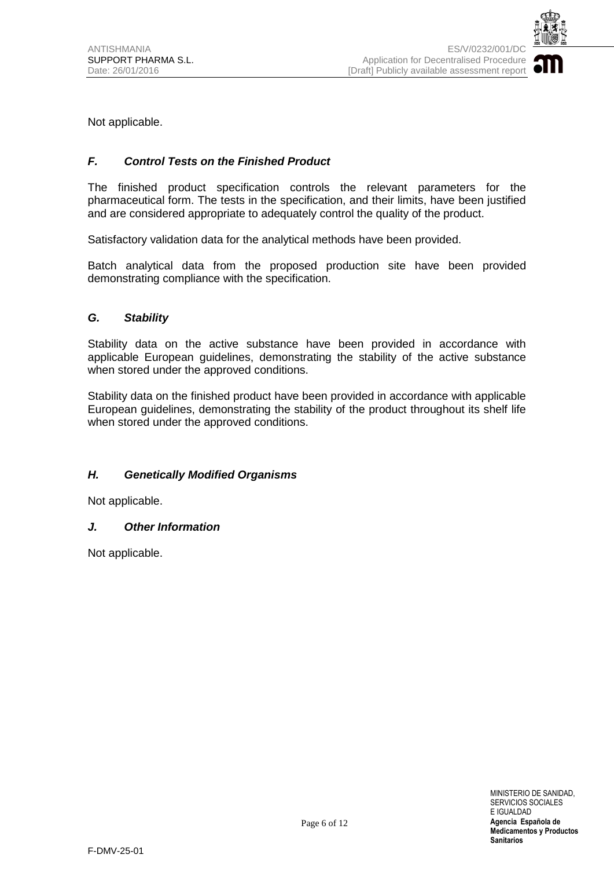

Not applicable.

#### *F. Control Tests on the Finished Product*

The finished product specification controls the relevant parameters for the pharmaceutical form. The tests in the specification, and their limits, have been justified and are considered appropriate to adequately control the quality of the product.

Satisfactory validation data for the analytical methods have been provided.

Batch analytical data from the proposed production site have been provided demonstrating compliance with the specification.

#### *G. Stability*

Stability data on the active substance have been provided in accordance with applicable European guidelines, demonstrating the stability of the active substance when stored under the approved conditions.

Stability data on the finished product have been provided in accordance with applicable European guidelines, demonstrating the stability of the product throughout its shelf life when stored under the approved conditions.

#### *H. Genetically Modified Organisms*

Not applicable.

#### *J. Other Information*

Not applicable.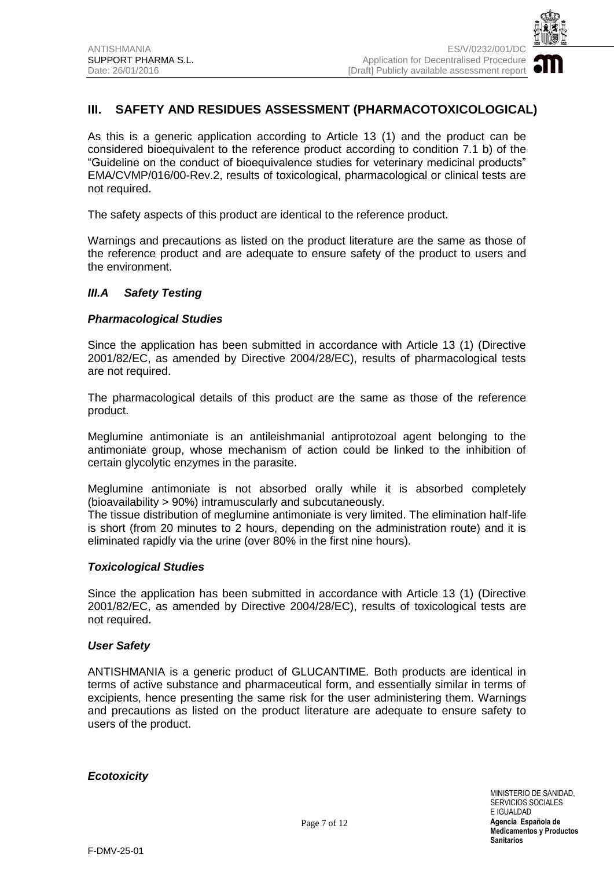

## **III. SAFETY AND RESIDUES ASSESSMENT (PHARMACOTOXICOLOGICAL)**

As this is a generic application according to Article 13 (1) and the product can be considered bioequivalent to the reference product according to condition 7.1 b) of the "Guideline on the conduct of bioequivalence studies for veterinary medicinal products" EMA/CVMP/016/00-Rev.2, results of toxicological, pharmacological or clinical tests are not required.

The safety aspects of this product are identical to the reference product.

Warnings and precautions as listed on the product literature are the same as those of the reference product and are adequate to ensure safety of the product to users and the environment.

#### *III.A Safety Testing*

#### *Pharmacological Studies*

Since the application has been submitted in accordance with Article 13 (1) (Directive 2001/82/EC, as amended by Directive 2004/28/EC), results of pharmacological tests are not required.

The pharmacological details of this product are the same as those of the reference product.

Meglumine antimoniate is an antileishmanial antiprotozoal agent belonging to the antimoniate group, whose mechanism of action could be linked to the inhibition of certain glycolytic enzymes in the parasite.

Meglumine antimoniate is not absorbed orally while it is absorbed completely (bioavailability > 90%) intramuscularly and subcutaneously.

The tissue distribution of meglumine antimoniate is very limited. The elimination half-life is short (from 20 minutes to 2 hours, depending on the administration route) and it is eliminated rapidly via the urine (over 80% in the first nine hours).

#### *Toxicological Studies*

Since the application has been submitted in accordance with Article 13 (1) (Directive 2001/82/EC, as amended by Directive 2004/28/EC), results of toxicological tests are not required.

#### *User Safety*

ANTISHMANIA is a generic product of GLUCANTIME*.* Both products are identical in terms of active substance and pharmaceutical form, and essentially similar in terms of excipients, hence presenting the same risk for the user administering them. Warnings and precautions as listed on the product literature are adequate to ensure safety to users of the product.

*Ecotoxicity*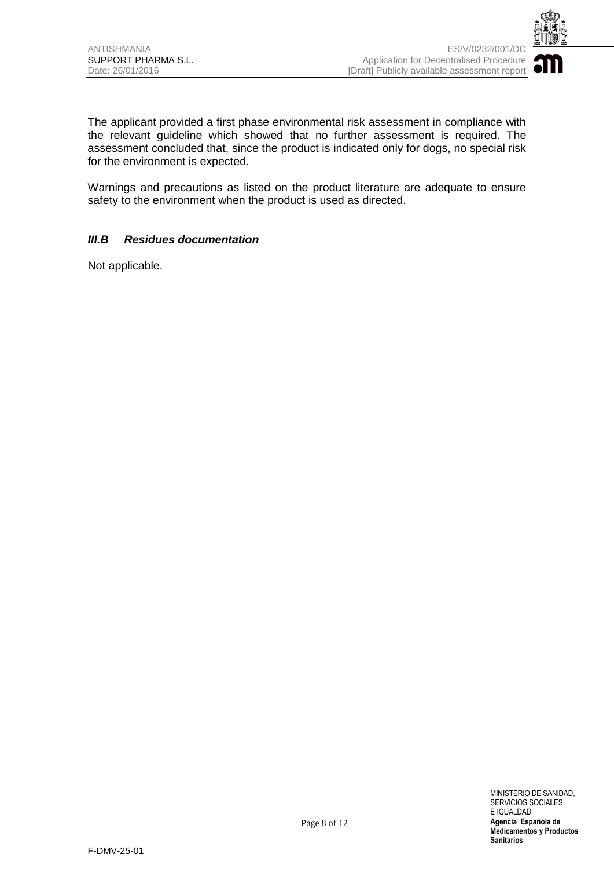

The applicant provided a first phase environmental risk assessment in compliance with the relevant guideline which showed that no further assessment is required. The assessment concluded that, since the product is indicated only for dogs, no special risk for the environment is expected.

Warnings and precautions as listed on the product literature are adequate to ensure safety to the environment when the product is used as directed.

#### *III.B Residues documentation*

Not applicable.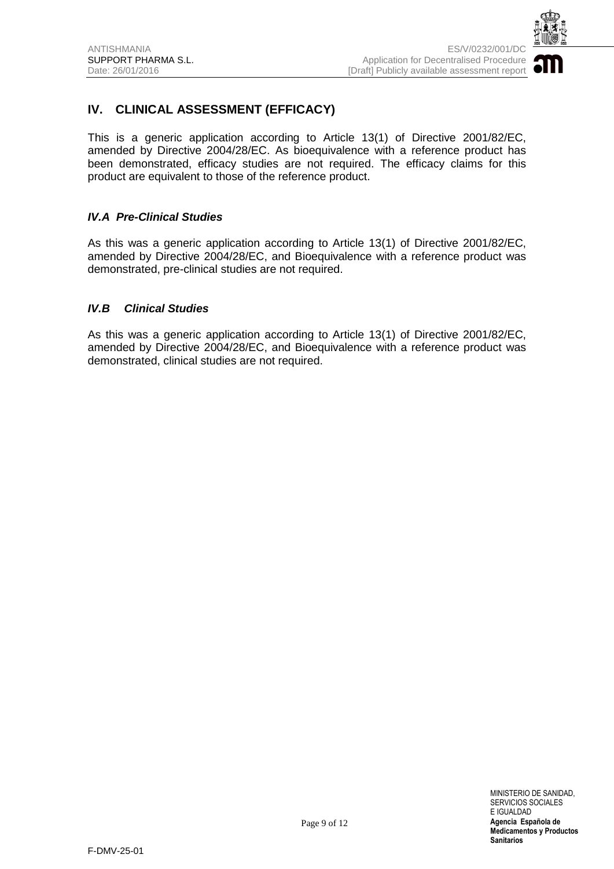

## **IV. CLINICAL ASSESSMENT (EFFICACY)**

This is a generic application according to Article 13(1) of Directive 2001/82/EC, amended by Directive 2004/28/EC. As bioequivalence with a reference product has been demonstrated, efficacy studies are not required. The efficacy claims for this product are equivalent to those of the reference product.

#### *IV.A Pre-Clinical Studies*

As this was a generic application according to Article 13(1) of Directive 2001/82/EC, amended by Directive 2004/28/EC, and Bioequivalence with a reference product was demonstrated, pre-clinical studies are not required.

#### *IV.B Clinical Studies*

As this was a generic application according to Article 13(1) of Directive 2001/82/EC, amended by Directive 2004/28/EC, and Bioequivalence with a reference product was demonstrated, clinical studies are not required.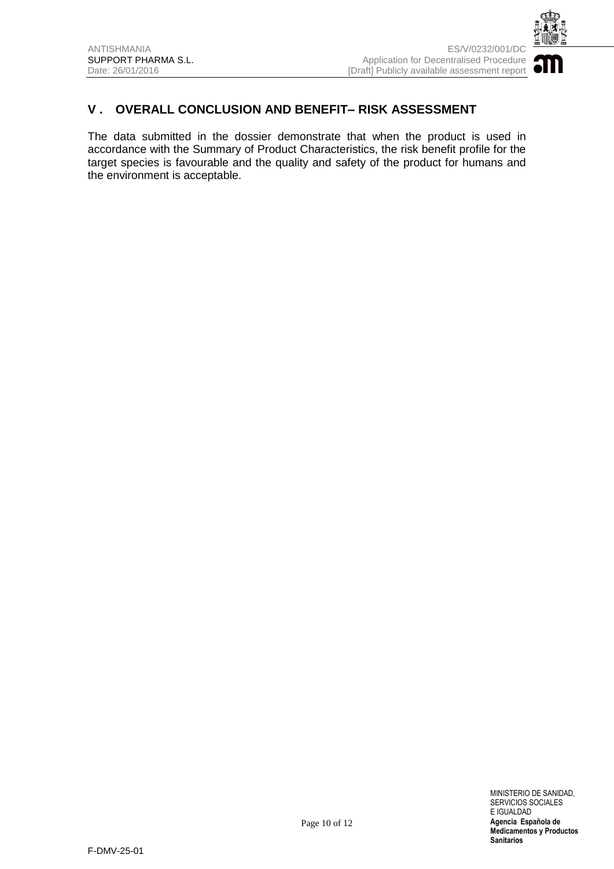

## **V . OVERALL CONCLUSION AND BENEFIT– RISK ASSESSMENT**

The data submitted in the dossier demonstrate that when the product is used in accordance with the Summary of Product Characteristics, the risk benefit profile for the target species is favourable and the quality and safety of the product for humans and the environment is acceptable.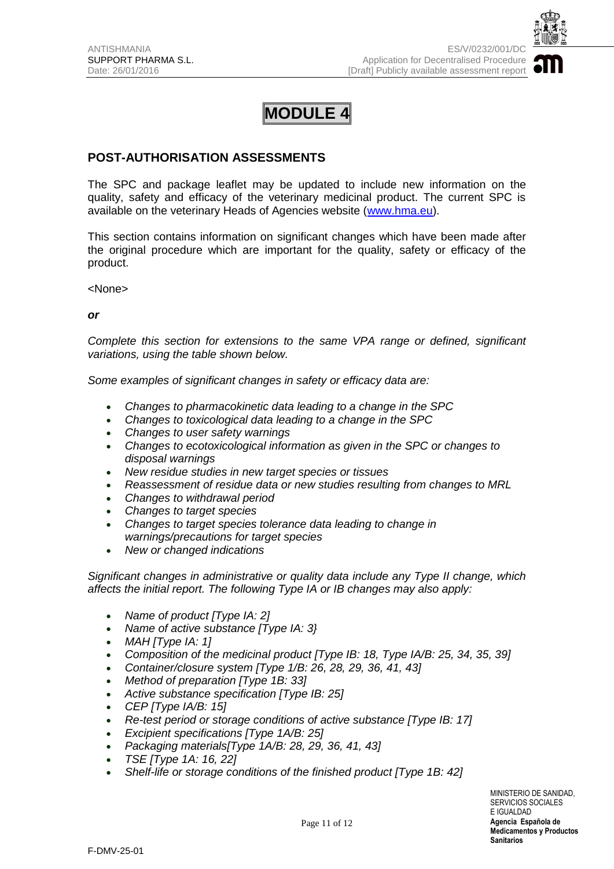

## **POST-AUTHORISATION ASSESSMENTS**

The SPC and package leaflet may be updated to include new information on the quality, safety and efficacy of the veterinary medicinal product. The current SPC is available on the veterinary Heads of Agencies website [\(www.hma.eu\)](http://www.hma.eu/).

This section contains information on significant changes which have been made after the original procedure which are important for the quality, safety or efficacy of the product.

<None>

*or*

*Complete this section for extensions to the same VPA range or defined, significant variations, using the table shown below.* 

*Some examples of significant changes in safety or efficacy data are:*

- *Changes to pharmacokinetic data leading to a change in the SPC*
- *Changes to toxicological data leading to a change in the SPC*
- *Changes to user safety warnings*
- *Changes to ecotoxicological information as given in the SPC or changes to disposal warnings*
- *New residue studies in new target species or tissues*
- *Reassessment of residue data or new studies resulting from changes to MRL*
- *Changes to withdrawal period*
- *Changes to target species*
- *Changes to target species tolerance data leading to change in warnings/precautions for target species*
- *New or changed indications*

*Significant changes in administrative or quality data include any Type II change, which affects the initial report. The following Type IA or IB changes may also apply:*

- *Name of product [Type IA: 2]*
- *Name of active substance [Type IA: 3}*
- *MAH [Type IA: 1]*
- *Composition of the medicinal product [Type IB: 18, Type IA/B: 25, 34, 35, 39]*
- *Container/closure system [Type 1/B: 26, 28, 29, 36, 41, 43]*
- *Method of preparation [Type 1B: 33]*
- *Active substance specification [Type IB: 25]*
- *CEP [Type IA/B: 15]*
- *Re-test period or storage conditions of active substance [Type IB: 17]*
- *Excipient specifications [Type 1A/B: 25]*
- *Packaging materials[Type 1A/B: 28, 29, 36, 41, 43]*
- *TSE [Type 1A: 16, 22]*
- *Shelf-life or storage conditions of the finished product [Type 1B: 42]*